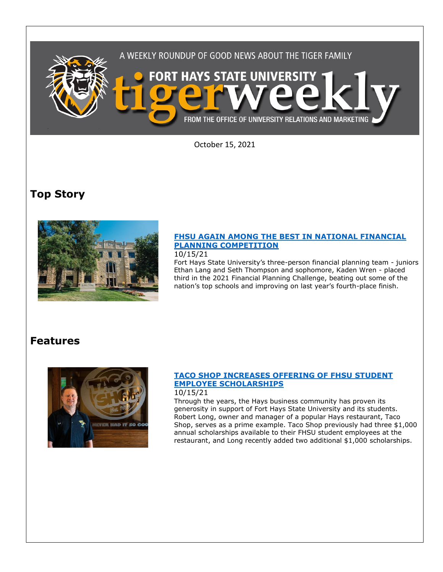

October 15, 2021

# **Top Story**



## **[FHSU AGAIN AMONG THE BEST IN NATIONAL FINANCIAL](https://www.fhsu.edu/news/2021/10/fhsu-again-among-the-best-in-national-financial-planning-competition)  [PLANNING COMPETITION](https://www.fhsu.edu/news/2021/10/fhsu-again-among-the-best-in-national-financial-planning-competition)**

### 10/15/21

Fort Hays State University's three-person financial planning team - juniors Ethan Lang and Seth Thompson and sophomore, Kaden Wren - placed third in the 2021 Financial Planning Challenge, beating out some of the nation's top schools and improving on last year's fourth-place finish.

## **Features**



### **[TACO SHOP INCREASES OFFERING OF FHSU STUDENT](https://www.fhsu.edu/news/2021/10/taco-shop-increases-offering-of-fhsu-student-employee-scholarships)  [EMPLOYEE SCHOLARSHIPS](https://www.fhsu.edu/news/2021/10/taco-shop-increases-offering-of-fhsu-student-employee-scholarships)**

### 10/15/21

Through the years, the Hays business community has proven its generosity in support of Fort Hays State University and its students. Robert Long, owner and manager of a popular Hays restaurant, Taco Shop, serves as a prime example. Taco Shop previously had three \$1,000 annual scholarships available to their FHSU student employees at the restaurant, and Long recently added two additional \$1,000 scholarships.